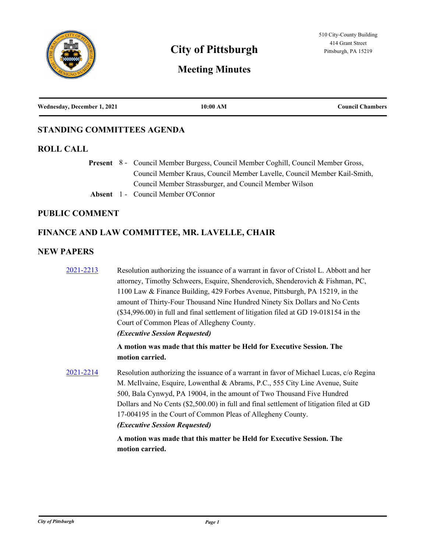

# **City of Pittsburgh** Pittsburgh, PA 15219

# **Meeting Minutes**

| Wednesday, December 1, 2021 | 10:00 AM | <b>Council Chambers</b> |
|-----------------------------|----------|-------------------------|
|                             |          |                         |

# **STANDING COMMITTEES AGENDA**

# **ROLL CALL**

Present 8 - Council Member Burgess, Council Member Coghill, Council Member Gross, Council Member Kraus, Council Member Lavelle, Council Member Kail-Smith, Council Member Strassburger, and Council Member Wilson

**Absent** 1 - Council Member O'Connor

# **PUBLIC COMMENT**

# **FINANCE AND LAW COMMITTEE, MR. LAVELLE, CHAIR**

# **NEW PAPERS**

| <u>2021-2213</u> | Resolution authorizing the issuance of a warrant in favor of Cristol L. Abbott and her                                                                                                                                                                                                                                                                                                                                                                     |  |
|------------------|------------------------------------------------------------------------------------------------------------------------------------------------------------------------------------------------------------------------------------------------------------------------------------------------------------------------------------------------------------------------------------------------------------------------------------------------------------|--|
|                  | attorney, Timothy Schweers, Esquire, Shenderovich, Shenderovich & Fishman, PC,                                                                                                                                                                                                                                                                                                                                                                             |  |
|                  | 1100 Law & Finance Building, 429 Forbes Avenue, Pittsburgh, PA 15219, in the                                                                                                                                                                                                                                                                                                                                                                               |  |
|                  | amount of Thirty-Four Thousand Nine Hundred Ninety Six Dollars and No Cents                                                                                                                                                                                                                                                                                                                                                                                |  |
|                  | (\$34,996.00) in full and final settlement of litigation filed at GD 19-018154 in the                                                                                                                                                                                                                                                                                                                                                                      |  |
|                  | Court of Common Pleas of Allegheny County.                                                                                                                                                                                                                                                                                                                                                                                                                 |  |
|                  | (Executive Session Requested)                                                                                                                                                                                                                                                                                                                                                                                                                              |  |
|                  | A motion was made that this matter be Held for Executive Session. The<br>motion carried.                                                                                                                                                                                                                                                                                                                                                                   |  |
| 2021-2214        | Resolution authorizing the issuance of a warrant in favor of Michael Lucas, c/o Regina<br>M. McIlvaine, Esquire, Lowenthal & Abrams, P.C., 555 City Line Avenue, Suite<br>500, Bala Cynwyd, PA 19004, in the amount of Two Thousand Five Hundred<br>Dollars and No Cents (\$2,500.00) in full and final settlement of litigation filed at GD<br>17-004195 in the Court of Common Pleas of Allegheny County.<br><i><b>(Executive Session Requested)</b></i> |  |
|                  | A motion was made that this matter be Held for Executive Session. The<br>motion carried.                                                                                                                                                                                                                                                                                                                                                                   |  |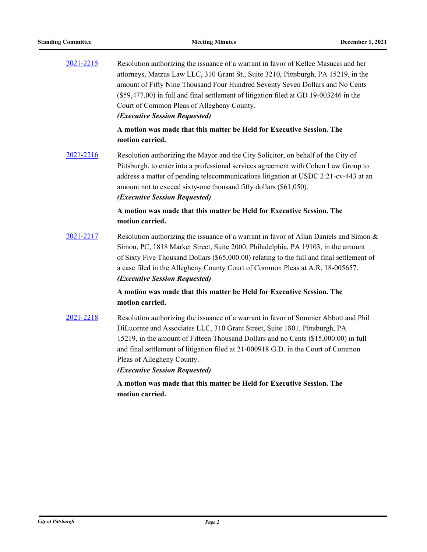| 2021-2215 | Resolution authorizing the issuance of a warrant in favor of Kellee Masucci and her<br>attorneys, Matzus Law LLC, 310 Grant St., Suite 3210, Pittsburgh, PA 15219, in the<br>amount of Fifty Nine Thousand Four Hundred Seventy Seven Dollars and No Cents<br>(\$59,477.00) in full and final settlement of litigation filed at GD 19-003246 in the<br>Court of Common Pleas of Allegheny County.<br>(Executive Session Requested) |
|-----------|------------------------------------------------------------------------------------------------------------------------------------------------------------------------------------------------------------------------------------------------------------------------------------------------------------------------------------------------------------------------------------------------------------------------------------|
|           | A motion was made that this matter be Held for Executive Session. The<br>motion carried.                                                                                                                                                                                                                                                                                                                                           |
| 2021-2216 | Resolution authorizing the Mayor and the City Solicitor, on behalf of the City of<br>Pittsburgh, to enter into a professional services agreement with Cohen Law Group to<br>address a matter of pending telecommunications litigation at USDC 2:21-cv-443 at an<br>amount not to exceed sixty-one thousand fifty dollars (\$61,050).<br>(Executive Session Requested)                                                              |
|           | A motion was made that this matter be Held for Executive Session. The<br>motion carried.                                                                                                                                                                                                                                                                                                                                           |
| 2021-2217 | Resolution authorizing the issuance of a warrant in favor of Allan Daniels and Simon &<br>Simon, PC, 1818 Market Street, Suite 2000, Philadelphia, PA 19103, in the amount<br>of Sixty Five Thousand Dollars (\$65,000.00) relating to the full and final settlement of<br>a case filed in the Allegheny County Court of Common Pleas at A.R. 18-005657.<br>(Executive Session Requested)                                          |
|           | A motion was made that this matter be Held for Executive Session. The<br>motion carried.                                                                                                                                                                                                                                                                                                                                           |
| 2021-2218 | Resolution authorizing the issuance of a warrant in favor of Sommer Abbott and Phil<br>DiLucente and Associates LLC, 310 Grant Street, Suite 1801, Pittsburgh, PA<br>15219, in the amount of Fifteen Thousand Dollars and no Cents (\$15,000.00) in full<br>and final settlement of litigation filed at 21-000918 G.D. in the Court of Common<br>Pleas of Allegheny County.<br>(Executive Session Requested)                       |

**A motion was made that this matter be Held for Executive Session. The motion carried.**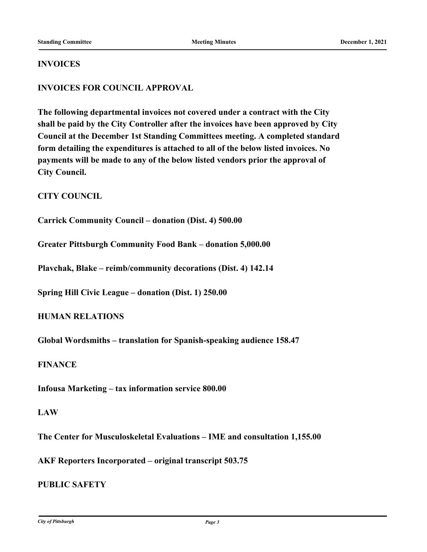#### **INVOICES**

# **INVOICES FOR COUNCIL APPROVAL**

**The following departmental invoices not covered under a contract with the City shall be paid by the City Controller after the invoices have been approved by City Council at the December 1st Standing Committees meeting. A completed standard form detailing the expenditures is attached to all of the below listed invoices. No payments will be made to any of the below listed vendors prior the approval of City Council.**

# **CITY COUNCIL**

**Carrick Community Council – donation (Dist. 4) 500.00**

**Greater Pittsburgh Community Food Bank – donation 5,000.00**

**Plavchak, Blake – reimb/community decorations (Dist. 4) 142.14**

**Spring Hill Civic League – donation (Dist. 1) 250.00**

**HUMAN RELATIONS**

**Global Wordsmiths – translation for Spanish-speaking audience 158.47**

### **FINANCE**

**Infousa Marketing – tax information service 800.00**

#### **LAW**

**The Center for Musculoskeletal Evaluations – IME and consultation 1,155.00**

**AKF Reporters Incorporated – original transcript 503.75**

# **PUBLIC SAFETY**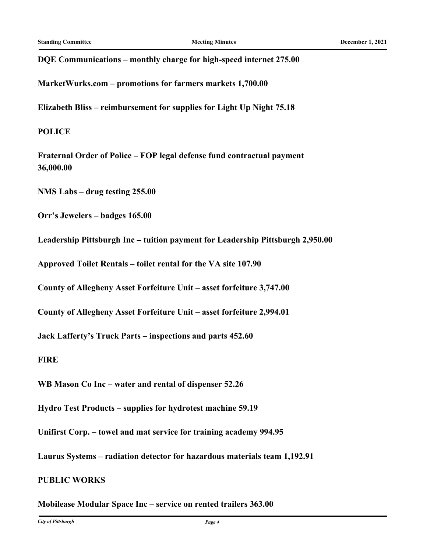**DQE Communications – monthly charge for high-speed internet 275.00**

**MarketWurks.com – promotions for farmers markets 1,700.00**

**Elizabeth Bliss – reimbursement for supplies for Light Up Night 75.18**

# **POLICE**

**Fraternal Order of Police – FOP legal defense fund contractual payment 36,000.00**

**NMS Labs – drug testing 255.00**

**Orr's Jewelers – badges 165.00**

**Leadership Pittsburgh Inc – tuition payment for Leadership Pittsburgh 2,950.00**

**Approved Toilet Rentals – toilet rental for the VA site 107.90**

**County of Allegheny Asset Forfeiture Unit – asset forfeiture 3,747.00**

**County of Allegheny Asset Forfeiture Unit – asset forfeiture 2,994.01**

**Jack Lafferty's Truck Parts – inspections and parts 452.60**

**FIRE**

**WB Mason Co Inc – water and rental of dispenser 52.26**

**Hydro Test Products – supplies for hydrotest machine 59.19**

**Unifirst Corp. – towel and mat service for training academy 994.95**

**Laurus Systems – radiation detector for hazardous materials team 1,192.91**

# **PUBLIC WORKS**

**Mobilease Modular Space Inc – service on rented trailers 363.00**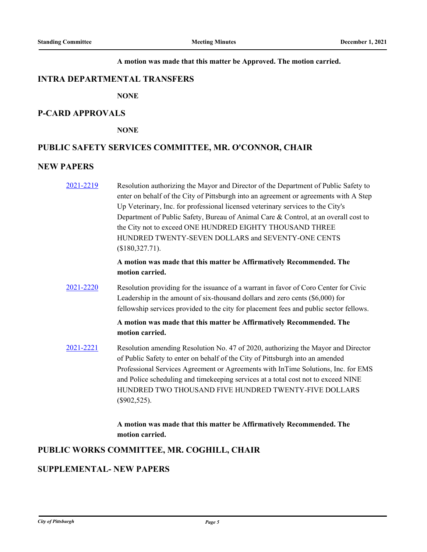#### **A motion was made that this matter be Approved. The motion carried.**

#### **INTRA DEPARTMENTAL TRANSFERS**

**NONE**

#### **P-CARD APPROVALS**

**NONE**

#### **PUBLIC SAFETY SERVICES COMMITTEE, MR. O'CONNOR, CHAIR**

#### **NEW PAPERS**

[2021-2219](http://pittsburgh.legistar.com/gateway.aspx?m=l&id=/matter.aspx?key=27121) Resolution authorizing the Mayor and Director of the Department of Public Safety to enter on behalf of the City of Pittsburgh into an agreement or agreements with A Step Up Veterinary, Inc. for professional licensed veterinary services to the City's Department of Public Safety, Bureau of Animal Care & Control, at an overall cost to the City not to exceed ONE HUNDRED EIGHTY THOUSAND THREE HUNDRED TWENTY-SEVEN DOLLARS and SEVENTY-ONE CENTS (\$180,327.71).

# **A motion was made that this matter be Affirmatively Recommended. The motion carried.**

[2021-2220](http://pittsburgh.legistar.com/gateway.aspx?m=l&id=/matter.aspx?key=27122) Resolution providing for the issuance of a warrant in favor of Coro Center for Civic Leadership in the amount of six-thousand dollars and zero cents (\$6,000) for fellowship services provided to the city for placement fees and public sector fellows.

# **A motion was made that this matter be Affirmatively Recommended. The motion carried.**

[2021-2221](http://pittsburgh.legistar.com/gateway.aspx?m=l&id=/matter.aspx?key=27123) Resolution amending Resolution No. 47 of 2020, authorizing the Mayor and Director of Public Safety to enter on behalf of the City of Pittsburgh into an amended Professional Services Agreement or Agreements with InTime Solutions, Inc. for EMS and Police scheduling and timekeeping services at a total cost not to exceed NINE HUNDRED TWO THOUSAND FIVE HUNDRED TWENTY-FIVE DOLLARS (\$902,525).

# **A motion was made that this matter be Affirmatively Recommended. The motion carried.**

# **PUBLIC WORKS COMMITTEE, MR. COGHILL, CHAIR**

#### **SUPPLEMENTAL- NEW PAPERS**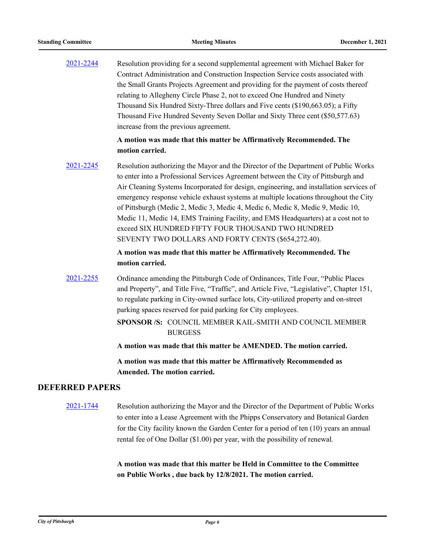[2021-2244](http://pittsburgh.legistar.com/gateway.aspx?m=l&id=/matter.aspx?key=27146) Resolution providing for a second supplemental agreement with Michael Baker for Contract Administration and Construction Inspection Service costs associated with the Small Grants Projects Agreement and providing for the payment of costs thereof relating to Allegheny Circle Phase 2, not to exceed One Hundred and Ninety Thousand Six Hundred Sixty-Three dollars and Five cents (\$190,663.05); a Fifty Thousand Five Hundred Seventy Seven Dollar and Sixty Three cent (\$50,577.63) increase from the previous agreement.

#### **A motion was made that this matter be Affirmatively Recommended. The motion carried.**

[2021-2245](http://pittsburgh.legistar.com/gateway.aspx?m=l&id=/matter.aspx?key=27147) Resolution authorizing the Mayor and the Director of the Department of Public Works to enter into a Professional Services Agreement between the City of Pittsburgh and Air Cleaning Systems Incorporated for design, engineering, and installation services of emergency response vehicle exhaust systems at multiple locations throughout the City of Pittsburgh (Medic 2, Medic 3, Medic 4, Medic 6, Medic 8, Medic 9, Medic 10, Medic 11, Medic 14, EMS Training Facility, and EMS Headquarters) at a cost not to exceed SIX HUNDRED FIFTY FOUR THOUSAND TWO HUNDRED SEVENTY TWO DOLLARS AND FORTY CENTS (\$654,272.40).

# **A motion was made that this matter be Affirmatively Recommended. The motion carried.**

- [2021-2255](http://pittsburgh.legistar.com/gateway.aspx?m=l&id=/matter.aspx?key=27157) Ordinance amending the Pittsburgh Code of Ordinances, Title Four, "Public Places and Property", and Title Five, "Traffic", and Article Five, "Legislative", Chapter 151, to regulate parking in City-owned surface lots, City-utilized property and on-street parking spaces reserved for paid parking for City employees.
	- SPONSOR /S: COUNCIL MEMBER KAIL-SMITH AND COUNCIL MEMBER **BURGESS**
	- **A motion was made that this matter be AMENDED. The motion carried.**

**A motion was made that this matter be Affirmatively Recommended as Amended. The motion carried.**

# **DEFERRED PAPERS**

[2021-1744](http://pittsburgh.legistar.com/gateway.aspx?m=l&id=/matter.aspx?key=26611) Resolution authorizing the Mayor and the Director of the Department of Public Works to enter into a Lease Agreement with the Phipps Conservatory and Botanical Garden for the City facility known the Garden Center for a period of ten (10) years an annual rental fee of One Dollar (\$1.00) per year, with the possibility of renewal.

> **A motion was made that this matter be Held in Committee to the Committee on Public Works , due back by 12/8/2021. The motion carried.**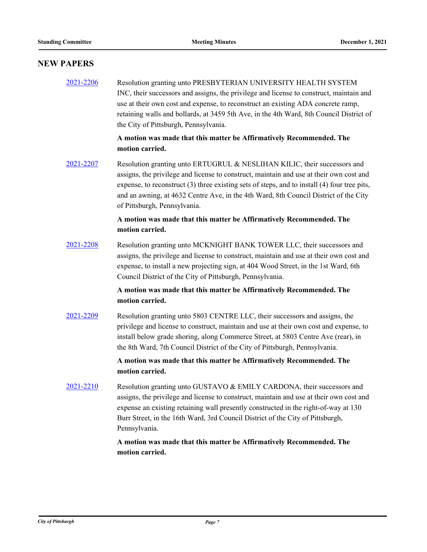# **NEW PAPERS**

[2021-2206](http://pittsburgh.legistar.com/gateway.aspx?m=l&id=/matter.aspx?key=27108) Resolution granting unto PRESBYTERIAN UNIVERSITY HEALTH SYSTEM INC, their successors and assigns, the privilege and license to construct, maintain and use at their own cost and expense, to reconstruct an existing ADA concrete ramp, retaining walls and bollards, at 3459 5th Ave, in the 4th Ward, 8th Council District of the City of Pittsburgh, Pennsylvania.

# **A motion was made that this matter be Affirmatively Recommended. The motion carried.**

[2021-2207](http://pittsburgh.legistar.com/gateway.aspx?m=l&id=/matter.aspx?key=27109) Resolution granting unto ERTUGRUL & NESLIHAN KILIC, their successors and assigns, the privilege and license to construct, maintain and use at their own cost and expense, to reconstruct (3) three existing sets of steps, and to install (4) four tree pits, and an awning, at 4632 Centre Ave, in the 4th Ward, 8th Council District of the City of Pittsburgh, Pennsylvania.

### **A motion was made that this matter be Affirmatively Recommended. The motion carried.**

[2021-2208](http://pittsburgh.legistar.com/gateway.aspx?m=l&id=/matter.aspx?key=27110) Resolution granting unto MCKNIGHT BANK TOWER LLC, their successors and assigns, the privilege and license to construct, maintain and use at their own cost and expense, to install a new projecting sign, at 404 Wood Street, in the 1st Ward, 6th Council District of the City of Pittsburgh, Pennsylvania.

#### **A motion was made that this matter be Affirmatively Recommended. The motion carried.**

[2021-2209](http://pittsburgh.legistar.com/gateway.aspx?m=l&id=/matter.aspx?key=27111) Resolution granting unto 5803 CENTRE LLC, their successors and assigns, the privilege and license to construct, maintain and use at their own cost and expense, to install below grade shoring, along Commerce Street, at 5803 Centre Ave (rear), in the 8th Ward, 7th Council District of the City of Pittsburgh, Pennsylvania.

# **A motion was made that this matter be Affirmatively Recommended. The motion carried.**

[2021-2210](http://pittsburgh.legistar.com/gateway.aspx?m=l&id=/matter.aspx?key=27112) Resolution granting unto GUSTAVO & EMILY CARDONA, their successors and assigns, the privilege and license to construct, maintain and use at their own cost and expense an existing retaining wall presently constructed in the right-of-way at 130 Burr Street, in the 16th Ward, 3rd Council District of the City of Pittsburgh, Pennsylvania.

#### **A motion was made that this matter be Affirmatively Recommended. The motion carried.**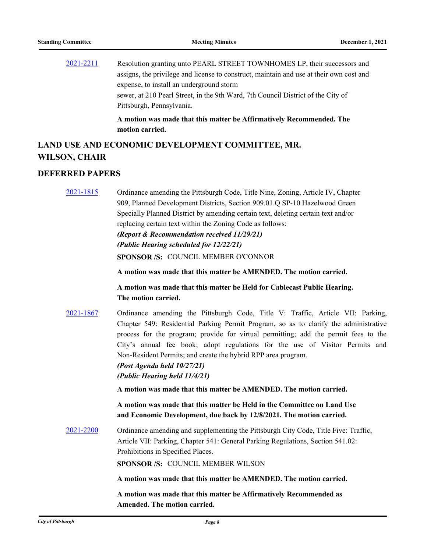|           | A motion was made that this matter be Affirmatively Recommended. The                    |
|-----------|-----------------------------------------------------------------------------------------|
|           | Pittsburgh, Pennsylvania.                                                               |
|           | sewer, at 210 Pearl Street, in the 9th Ward, 7th Council District of the City of        |
|           | expense, to install an underground storm                                                |
|           | assigns, the privilege and license to construct, maintain and use at their own cost and |
| 2021-2211 | Resolution granting unto PEARL STREET TOWNHOMES LP, their successors and                |

# **LAND USE AND ECONOMIC DEVELOPMENT COMMITTEE, MR. WILSON, CHAIR**

**motion carried.**

#### **DEFERRED PAPERS**

[2021-1815](http://pittsburgh.legistar.com/gateway.aspx?m=l&id=/matter.aspx?key=26683) Ordinance amending the Pittsburgh Code, Title Nine, Zoning, Article IV, Chapter 909, Planned Development Districts, Section 909.01.Q SP-10 Hazelwood Green Specially Planned District by amending certain text, deleting certain text and/or replacing certain text within the Zoning Code as follows: *(Report & Recommendation received 11/29/21) (Public Hearing scheduled for 12/22/21)* **SPONSOR /S:** COUNCIL MEMBER O'CONNOR

**A motion was made that this matter be AMENDED. The motion carried.**

**A motion was made that this matter be Held for Cablecast Public Hearing. The motion carried.**

[2021-1867](http://pittsburgh.legistar.com/gateway.aspx?m=l&id=/matter.aspx?key=26737) Ordinance amending the Pittsburgh Code, Title V: Traffic, Article VII: Parking, Chapter 549: Residential Parking Permit Program, so as to clarify the administrative process for the program; provide for virtual permitting; add the permit fees to the City's annual fee book; adopt regulations for the use of Visitor Permits and Non-Resident Permits; and create the hybrid RPP area program.

*(Post Agenda held 10/27/21)*

*(Public Hearing held 11/4/21)*

**A motion was made that this matter be AMENDED. The motion carried.**

**A motion was made that this matter be Held in the Committee on Land Use and Economic Development, due back by 12/8/2021. The motion carried.**

[2021-2200](http://pittsburgh.legistar.com/gateway.aspx?m=l&id=/matter.aspx?key=27095) Ordinance amending and supplementing the Pittsburgh City Code, Title Five: Traffic, Article VII: Parking, Chapter 541: General Parking Regulations, Section 541.02: Prohibitions in Specified Places.

**SPONSOR /S:** COUNCIL MEMBER WILSON

**A motion was made that this matter be AMENDED. The motion carried.**

**A motion was made that this matter be Affirmatively Recommended as Amended. The motion carried.**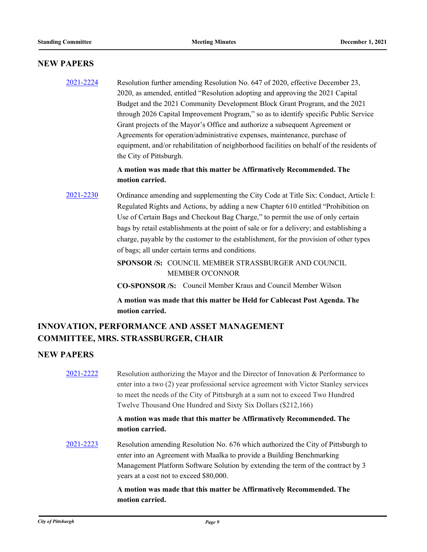#### **NEW PAPERS**

[2021-2224](http://pittsburgh.legistar.com/gateway.aspx?m=l&id=/matter.aspx?key=27126) Resolution further amending Resolution No. 647 of 2020, effective December 23, 2020, as amended, entitled "Resolution adopting and approving the 2021 Capital Budget and the 2021 Community Development Block Grant Program, and the 2021 through 2026 Capital Improvement Program," so as to identify specific Public Service Grant projects of the Mayor's Office and authorize a subsequent Agreement or Agreements for operation/administrative expenses, maintenance, purchase of equipment, and/or rehabilitation of neighborhood facilities on behalf of the residents of the City of Pittsburgh.

# **A motion was made that this matter be Affirmatively Recommended. The motion carried.**

[2021-2230](http://pittsburgh.legistar.com/gateway.aspx?m=l&id=/matter.aspx?key=27133) Ordinance amending and supplementing the City Code at Title Six: Conduct, Article I: Regulated Rights and Actions, by adding a new Chapter 610 entitled "Prohibition on Use of Certain Bags and Checkout Bag Charge," to permit the use of only certain bags by retail establishments at the point of sale or for a delivery; and establishing a charge, payable by the customer to the establishment, for the provision of other types of bags; all under certain terms and conditions.

> SPONSOR /S: COUNCIL MEMBER STRASSBURGER AND COUNCIL MEMBER O'CONNOR

**CO-SPONSOR /S:** Council Member Kraus and Council Member Wilson

**A motion was made that this matter be Held for Cablecast Post Agenda. The motion carried.**

# **INNOVATION, PERFORMANCE AND ASSET MANAGEMENT COMMITTEE, MRS. STRASSBURGER, CHAIR**

#### **NEW PAPERS**

[2021-2222](http://pittsburgh.legistar.com/gateway.aspx?m=l&id=/matter.aspx?key=27124) Resolution authorizing the Mayor and the Director of Innovation & Performance to enter into a two (2) year professional service agreement with Victor Stanley services to meet the needs of the City of Pittsburgh at a sum not to exceed Two Hundred Twelve Thousand One Hundred and Sixty Six Dollars (\$212,166)

# **A motion was made that this matter be Affirmatively Recommended. The motion carried.**

[2021-2223](http://pittsburgh.legistar.com/gateway.aspx?m=l&id=/matter.aspx?key=27125) Resolution amending Resolution No. 676 which authorized the City of Pittsburgh to enter into an Agreement with Maalka to provide a Building Benchmarking Management Platform Software Solution by extending the term of the contract by 3 years at a cost not to exceed \$80,000.

> **A motion was made that this matter be Affirmatively Recommended. The motion carried.**